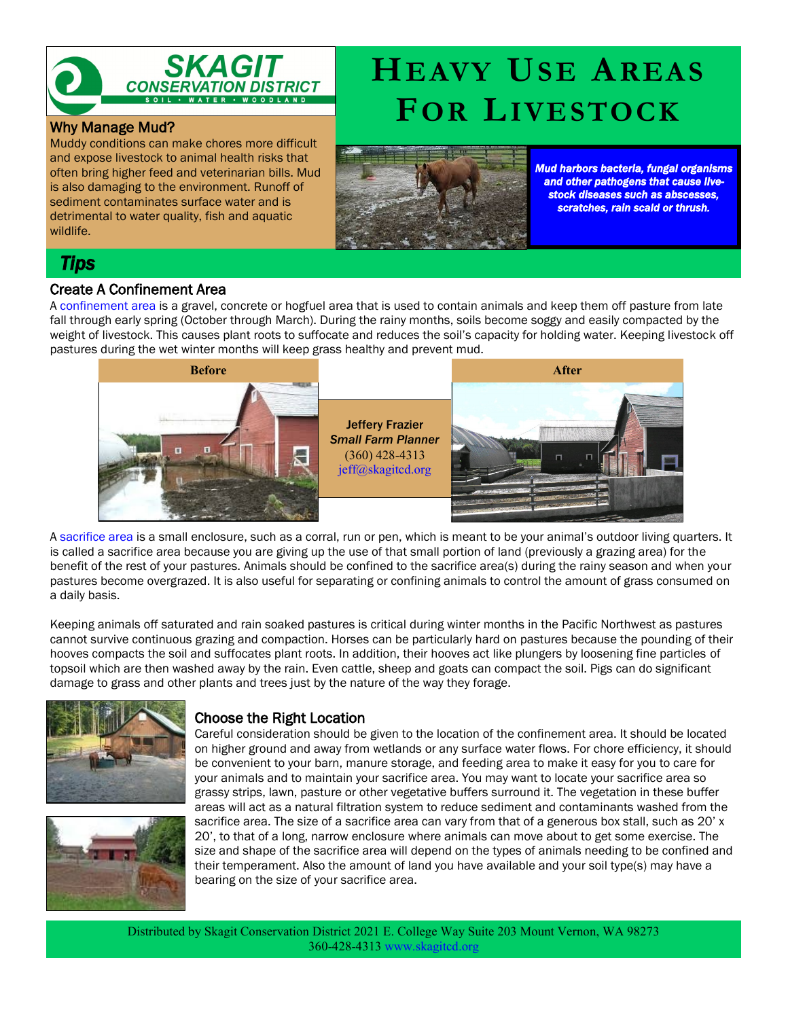

### Why Manage Mud?

Muddy conditions can make chores more difficult and expose livestock to animal health risks that often bring higher feed and veterinarian bills. Mud is also damaging to the environment. Runoff of sediment contaminates surface water and is detrimental to water quality, fish and aquatic wildlife.

*Mud harbors bacteria, fungal organisms and other pathogens that cause livestock diseases such as abscesses, scratches, rain scald or thrush.*

## *Tips*

### Create A Confinement Area

A confinement area is a gravel, concrete or hogfuel area that is used to contain animals and keep them off pasture from late fall through early spring (October through March). During the rainy months, soils become soggy and easily compacted by the weight of livestock. This causes plant roots to suffocate and reduces the soil's capacity for holding water. Keeping livestock off pastures during the wet winter months will keep grass healthy and prevent mud.



A sacrifice area is a small enclosure, such as a corral, run or pen, which is meant to be your animal's outdoor living quarters. It is called a sacrifice area because you are giving up the use of that small portion of land (previously a grazing area) for the benefit of the rest of your pastures. Animals should be confined to the sacrifice area(s) during the rainy season and when your pastures become overgrazed. It is also useful for separating or confining animals to control the amount of grass consumed on a daily basis.

Keeping animals off saturated and rain soaked pastures is critical during winter months in the Pacific Northwest as pastures cannot survive continuous grazing and compaction. Horses can be particularly hard on pastures because the pounding of their hooves compacts the soil and suffocates plant roots. In addition, their hooves act like plungers by loosening fine particles of topsoil which are then washed away by the rain. Even cattle, sheep and goats can compact the soil. Pigs can do significant damage to grass and other plants and trees just by the nature of the way they forage.





### Choose the Right Location

Careful consideration should be given to the location of the confinement area. It should be located on higher ground and away from wetlands or any surface water flows. For chore efficiency, it should be convenient to your barn, manure storage, and feeding area to make it easy for you to care for your animals and to maintain your sacrifice area. You may want to locate your sacrifice area so grassy strips, lawn, pasture or other vegetative buffers surround it. The vegetation in these buffer areas will act as a natural filtration system to reduce sediment and contaminants washed from the sacrifice area. The size of a sacrifice area can vary from that of a generous box stall, such as 20' x 20', to that of a long, narrow enclosure where animals can move about to get some exercise. The size and shape of the sacrifice area will depend on the types of animals needing to be confined and their temperament. Also the amount of land you have available and your soil type(s) may have a bearing on the size of your sacrifice area.

# **HEAVY USE AREAS FOR LIVESTOCK**